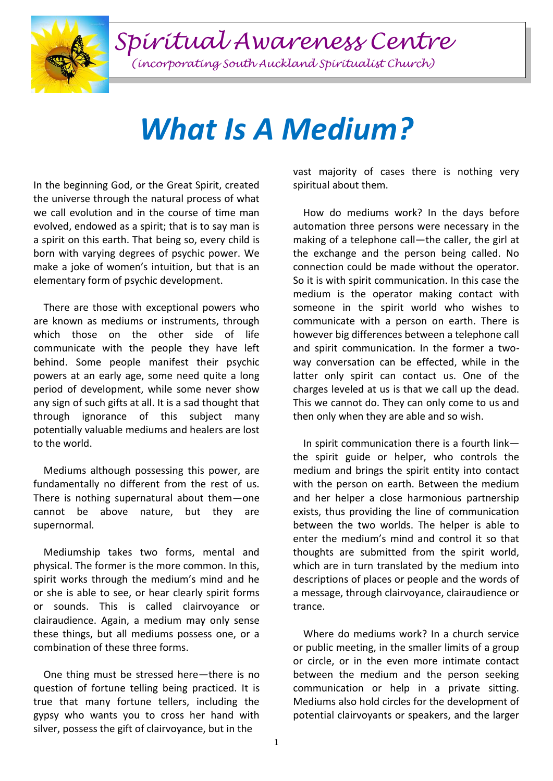*Spiritual Awareness Centre*

*(incorporating South Auckland Spiritualist Church)*

## *What Is A Medium?*

In the beginning God, or the Great Spirit, created the universe through the natural process of what we call evolution and in the course of time man evolved, endowed as a spirit; that is to say man is a spirit on this earth. That being so, every child is born with varying degrees of psychic power. We make a joke of women's intuition, but that is an elementary form of psychic development.

 There are those with exceptional powers who are known as mediums or instruments, through which those on the other side of life communicate with the people they have left behind. Some people manifest their psychic powers at an early age, some need quite a long period of development, while some never show any sign of such gifts at all. It is a sad thought that through ignorance of this subject many potentially valuable mediums and healers are lost to the world.

 Mediums although possessing this power, are fundamentally no different from the rest of us. There is nothing supernatural about them—one cannot be above nature, but they are supernormal.

 Mediumship takes two forms, mental and physical. The former is the more common. In this, spirit works through the medium's mind and he or she is able to see, or hear clearly spirit forms or sounds. This is called clairvoyance or clairaudience. Again, a medium may only sense these things, but all mediums possess one, or a combination of these three forms.

 One thing must be stressed here—there is no question of fortune telling being practiced. It is true that many fortune tellers, including the gypsy who wants you to cross her hand with silver, possess the gift of clairvoyance, but in the

vast majority of cases there is nothing very spiritual about them.

 How do mediums work? In the days before automation three persons were necessary in the making of a telephone call—the caller, the girl at the exchange and the person being called. No connection could be made without the operator. So it is with spirit communication. In this case the medium is the operator making contact with someone in the spirit world who wishes to communicate with a person on earth. There is however big differences between a telephone call and spirit communication. In the former a twoway conversation can be effected, while in the latter only spirit can contact us. One of the charges leveled at us is that we call up the dead. This we cannot do. They can only come to us and then only when they are able and so wish.

 In spirit communication there is a fourth link the spirit guide or helper, who controls the medium and brings the spirit entity into contact with the person on earth. Between the medium and her helper a close harmonious partnership exists, thus providing the line of communication between the two worlds. The helper is able to enter the medium's mind and control it so that thoughts are submitted from the spirit world, which are in turn translated by the medium into descriptions of places or people and the words of a message, through clairvoyance, clairaudience or trance.

 Where do mediums work? In a church service or public meeting, in the smaller limits of a group or circle, or in the even more intimate contact between the medium and the person seeking communication or help in a private sitting. Mediums also hold circles for the development of potential clairvoyants or speakers, and the larger